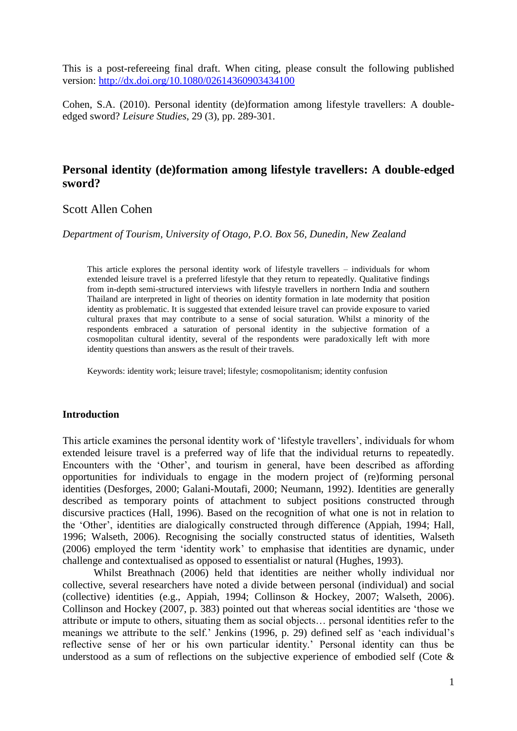This is a post-refereeing final draft. When citing, please consult the following published version: <http://dx.doi.org/10.1080/02614360903434100>

Cohen, S.A. (2010). Personal identity (de)formation among lifestyle travellers: A doubleedged sword? *Leisure Studies*, 29 (3), pp. 289-301.

# **Personal identity (de)formation among lifestyle travellers: A double-edged sword?**

Scott Allen Cohen

*Department of Tourism, University of Otago, P.O. Box 56, Dunedin, New Zealand*

This article explores the personal identity work of lifestyle travellers – individuals for whom extended leisure travel is a preferred lifestyle that they return to repeatedly. Qualitative findings from in-depth semi-structured interviews with lifestyle travellers in northern India and southern Thailand are interpreted in light of theories on identity formation in late modernity that position identity as problematic. It is suggested that extended leisure travel can provide exposure to varied cultural praxes that may contribute to a sense of social saturation. Whilst a minority of the respondents embraced a saturation of personal identity in the subjective formation of a cosmopolitan cultural identity, several of the respondents were paradoxically left with more identity questions than answers as the result of their travels.

Keywords: identity work; leisure travel; lifestyle; cosmopolitanism; identity confusion

#### **Introduction**

This article examines the personal identity work of "lifestyle travellers", individuals for whom extended leisure travel is a preferred way of life that the individual returns to repeatedly. Encounters with the "Other", and tourism in general, have been described as affording opportunities for individuals to engage in the modern project of (re)forming personal identities (Desforges, 2000; Galani-Moutafi, 2000; Neumann, 1992). Identities are generally described as temporary points of attachment to subject positions constructed through discursive practices (Hall, 1996). Based on the recognition of what one is not in relation to the "Other", identities are dialogically constructed through difference (Appiah, 1994; Hall, 1996; Walseth, 2006). Recognising the socially constructed status of identities, Walseth (2006) employed the term "identity work" to emphasise that identities are dynamic, under challenge and contextualised as opposed to essentialist or natural (Hughes, 1993).

Whilst Breathnach (2006) held that identities are neither wholly individual nor collective, several researchers have noted a divide between personal (individual) and social (collective) identities (e.g., Appiah, 1994; Collinson & Hockey, 2007; Walseth, 2006). Collinson and Hockey (2007, p. 383) pointed out that whereas social identities are "those we attribute or impute to others, situating them as social objects… personal identities refer to the meanings we attribute to the self." Jenkins (1996, p. 29) defined self as "each individual"s reflective sense of her or his own particular identity." Personal identity can thus be understood as a sum of reflections on the subjective experience of embodied self (Cote &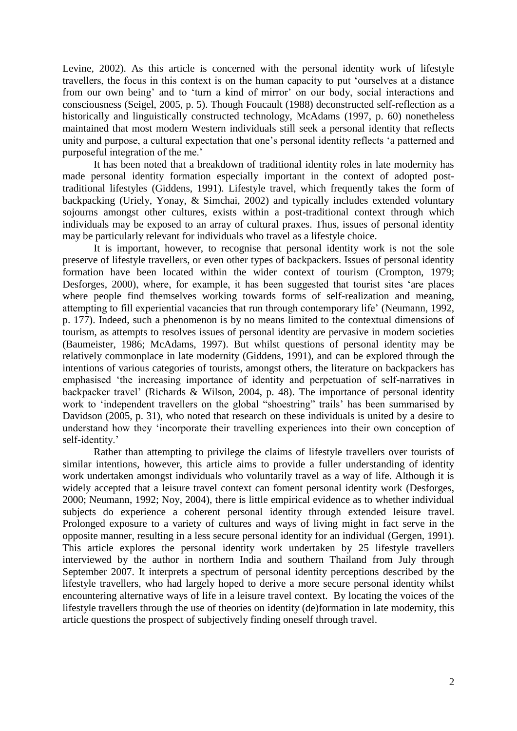Levine, 2002). As this article is concerned with the personal identity work of lifestyle travellers, the focus in this context is on the human capacity to put "ourselves at a distance from our own being' and to 'turn a kind of mirror' on our body, social interactions and consciousness (Seigel, 2005, p. 5). Though Foucault (1988) deconstructed self-reflection as a historically and linguistically constructed technology, McAdams (1997, p. 60) nonetheless maintained that most modern Western individuals still seek a personal identity that reflects unity and purpose, a cultural expectation that one's personal identity reflects 'a patterned and purposeful integration of the me.'

It has been noted that a breakdown of traditional identity roles in late modernity has made personal identity formation especially important in the context of adopted posttraditional lifestyles (Giddens, 1991). Lifestyle travel, which frequently takes the form of backpacking (Uriely, Yonay, & Simchai, 2002) and typically includes extended voluntary sojourns amongst other cultures, exists within a post-traditional context through which individuals may be exposed to an array of cultural praxes. Thus, issues of personal identity may be particularly relevant for individuals who travel as a lifestyle choice.

It is important, however, to recognise that personal identity work is not the sole preserve of lifestyle travellers, or even other types of backpackers. Issues of personal identity formation have been located within the wider context of tourism (Crompton, 1979; Desforges, 2000), where, for example, it has been suggested that tourist sites "are places where people find themselves working towards forms of self-realization and meaning, attempting to fill experiential vacancies that run through contemporary life" (Neumann, 1992, p. 177). Indeed, such a phenomenon is by no means limited to the contextual dimensions of tourism, as attempts to resolves issues of personal identity are pervasive in modern societies (Baumeister, 1986; McAdams, 1997). But whilst questions of personal identity may be relatively commonplace in late modernity (Giddens, 1991), and can be explored through the intentions of various categories of tourists, amongst others, the literature on backpackers has emphasised "the increasing importance of identity and perpetuation of self-narratives in backpacker travel" (Richards & Wilson, 2004, p. 48). The importance of personal identity work to 'independent travellers on the global "shoestring" trails' has been summarised by Davidson (2005, p. 31), who noted that research on these individuals is united by a desire to understand how they "incorporate their travelling experiences into their own conception of self-identity.'

Rather than attempting to privilege the claims of lifestyle travellers over tourists of similar intentions, however, this article aims to provide a fuller understanding of identity work undertaken amongst individuals who voluntarily travel as a way of life. Although it is widely accepted that a leisure travel context can foment personal identity work (Desforges, 2000; Neumann, 1992; Noy, 2004), there is little empirical evidence as to whether individual subjects do experience a coherent personal identity through extended leisure travel. Prolonged exposure to a variety of cultures and ways of living might in fact serve in the opposite manner, resulting in a less secure personal identity for an individual (Gergen, 1991). This article explores the personal identity work undertaken by 25 lifestyle travellers interviewed by the author in northern India and southern Thailand from July through September 2007. It interprets a spectrum of personal identity perceptions described by the lifestyle travellers, who had largely hoped to derive a more secure personal identity whilst encountering alternative ways of life in a leisure travel context. By locating the voices of the lifestyle travellers through the use of theories on identity (de)formation in late modernity, this article questions the prospect of subjectively finding oneself through travel.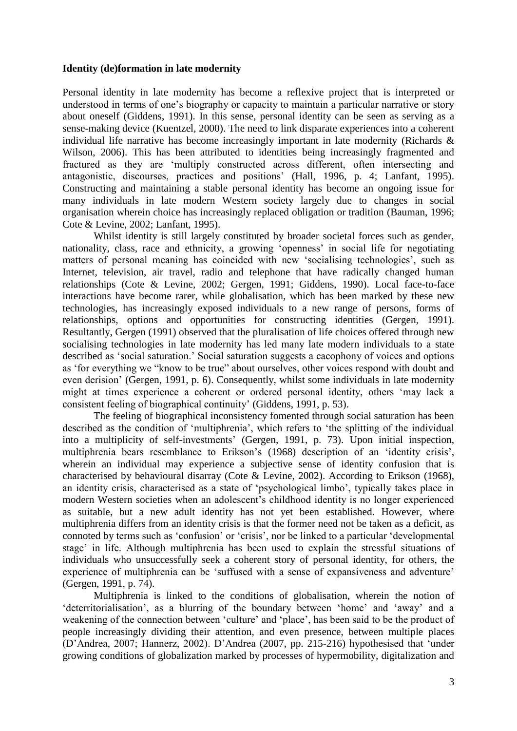## **Identity (de)formation in late modernity**

Personal identity in late modernity has become a reflexive project that is interpreted or understood in terms of one's biography or capacity to maintain a particular narrative or story about oneself (Giddens, 1991). In this sense, personal identity can be seen as serving as a sense-making device (Kuentzel, 2000). The need to link disparate experiences into a coherent individual life narrative has become increasingly important in late modernity (Richards & Wilson, 2006). This has been attributed to identities being increasingly fragmented and fractured as they are "multiply constructed across different, often intersecting and antagonistic, discourses, practices and positions" (Hall, 1996, p. 4; Lanfant, 1995). Constructing and maintaining a stable personal identity has become an ongoing issue for many individuals in late modern Western society largely due to changes in social organisation wherein choice has increasingly replaced obligation or tradition (Bauman, 1996; Cote & Levine, 2002; Lanfant, 1995).

Whilst identity is still largely constituted by broader societal forces such as gender, nationality, class, race and ethnicity, a growing "openness" in social life for negotiating matters of personal meaning has coincided with new 'socialising technologies', such as Internet, television, air travel, radio and telephone that have radically changed human relationships (Cote & Levine, 2002; Gergen, 1991; Giddens, 1990). Local face-to-face interactions have become rarer, while globalisation, which has been marked by these new technologies, has increasingly exposed individuals to a new range of persons, forms of relationships, options and opportunities for constructing identities (Gergen, 1991). Resultantly, Gergen (1991) observed that the pluralisation of life choices offered through new socialising technologies in late modernity has led many late modern individuals to a state described as "social saturation." Social saturation suggests a cacophony of voices and options as "for everything we "know to be true" about ourselves, other voices respond with doubt and even derision" (Gergen, 1991, p. 6). Consequently, whilst some individuals in late modernity might at times experience a coherent or ordered personal identity, others "may lack a consistent feeling of biographical continuity" (Giddens, 1991, p. 53).

The feeling of biographical inconsistency fomented through social saturation has been described as the condition of 'multiphrenia', which refers to 'the splitting of the individual into a multiplicity of self-investments' (Gergen, 1991, p. 73). Upon initial inspection, multiphrenia bears resemblance to Erikson"s (1968) description of an "identity crisis", wherein an individual may experience a subjective sense of identity confusion that is characterised by behavioural disarray (Cote & Levine, 2002). According to Erikson (1968), an identity crisis, characterised as a state of "psychological limbo", typically takes place in modern Western societies when an adolescent"s childhood identity is no longer experienced as suitable, but a new adult identity has not yet been established. However, where multiphrenia differs from an identity crisis is that the former need not be taken as a deficit, as connoted by terms such as "confusion" or "crisis", nor be linked to a particular "developmental stage' in life. Although multiphrenia has been used to explain the stressful situations of individuals who unsuccessfully seek a coherent story of personal identity, for others, the experience of multiphrenia can be 'suffused with a sense of expansiveness and adventure' (Gergen, 1991, p. 74).

Multiphrenia is linked to the conditions of globalisation, wherein the notion of "deterritorialisation", as a blurring of the boundary between "home" and "away" and a weakening of the connection between 'culture' and 'place', has been said to be the product of people increasingly dividing their attention, and even presence, between multiple places (D"Andrea, 2007; Hannerz, 2002). D"Andrea (2007, pp. 215-216) hypothesised that "under growing conditions of globalization marked by processes of hypermobility, digitalization and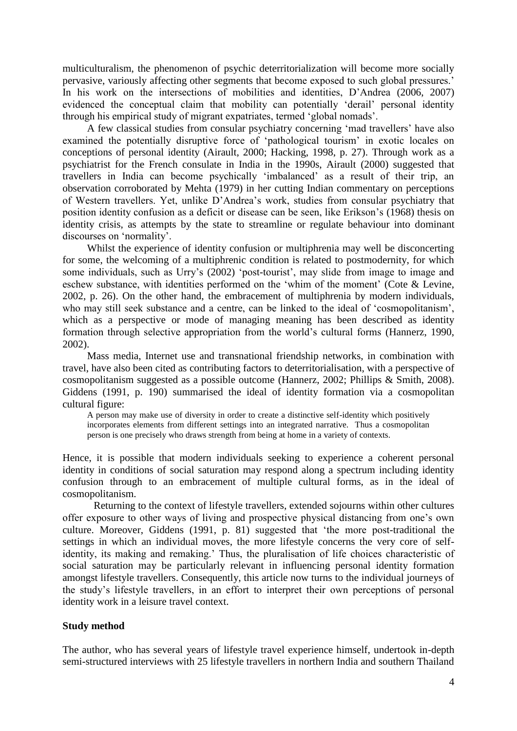multiculturalism, the phenomenon of psychic deterritorialization will become more socially pervasive, variously affecting other segments that become exposed to such global pressures." In his work on the intersections of mobilities and identities, D"Andrea (2006, 2007) evidenced the conceptual claim that mobility can potentially "derail" personal identity through his empirical study of migrant expatriates, termed "global nomads".

A few classical studies from consular psychiatry concerning "mad travellers" have also examined the potentially disruptive force of "pathological tourism" in exotic locales on conceptions of personal identity (Airault, 2000; Hacking, 1998, p. 27). Through work as a psychiatrist for the French consulate in India in the 1990s, Airault (2000) suggested that travellers in India can become psychically "imbalanced" as a result of their trip, an observation corroborated by Mehta (1979) in her cutting Indian commentary on perceptions of Western travellers. Yet, unlike D"Andrea"s work, studies from consular psychiatry that position identity confusion as a deficit or disease can be seen, like Erikson"s (1968) thesis on identity crisis, as attempts by the state to streamline or regulate behaviour into dominant discourses on "normality".

Whilst the experience of identity confusion or multiphrenia may well be disconcerting for some, the welcoming of a multiphrenic condition is related to postmodernity, for which some individuals, such as Urry's (2002) 'post-tourist', may slide from image to image and eschew substance, with identities performed on the 'whim of the moment' (Cote & Levine, 2002, p. 26). On the other hand, the embracement of multiphrenia by modern individuals, who may still seek substance and a centre, can be linked to the ideal of "cosmopolitanism", which as a perspective or mode of managing meaning has been described as identity formation through selective appropriation from the world"s cultural forms (Hannerz, 1990, 2002).

Mass media, Internet use and transnational friendship networks, in combination with travel, have also been cited as contributing factors to deterritorialisation, with a perspective of cosmopolitanism suggested as a possible outcome (Hannerz, 2002; Phillips & Smith, 2008). Giddens (1991, p. 190) summarised the ideal of identity formation via a cosmopolitan cultural figure:

A person may make use of diversity in order to create a distinctive self-identity which positively incorporates elements from different settings into an integrated narrative. Thus a cosmopolitan person is one precisely who draws strength from being at home in a variety of contexts.

Hence, it is possible that modern individuals seeking to experience a coherent personal identity in conditions of social saturation may respond along a spectrum including identity confusion through to an embracement of multiple cultural forms, as in the ideal of cosmopolitanism.

Returning to the context of lifestyle travellers, extended sojourns within other cultures offer exposure to other ways of living and prospective physical distancing from one"s own culture. Moreover, Giddens (1991, p. 81) suggested that "the more post-traditional the settings in which an individual moves, the more lifestyle concerns the very core of selfidentity, its making and remaking." Thus, the pluralisation of life choices characteristic of social saturation may be particularly relevant in influencing personal identity formation amongst lifestyle travellers. Consequently, this article now turns to the individual journeys of the study"s lifestyle travellers, in an effort to interpret their own perceptions of personal identity work in a leisure travel context.

#### **Study method**

The author, who has several years of lifestyle travel experience himself, undertook in-depth semi-structured interviews with 25 lifestyle travellers in northern India and southern Thailand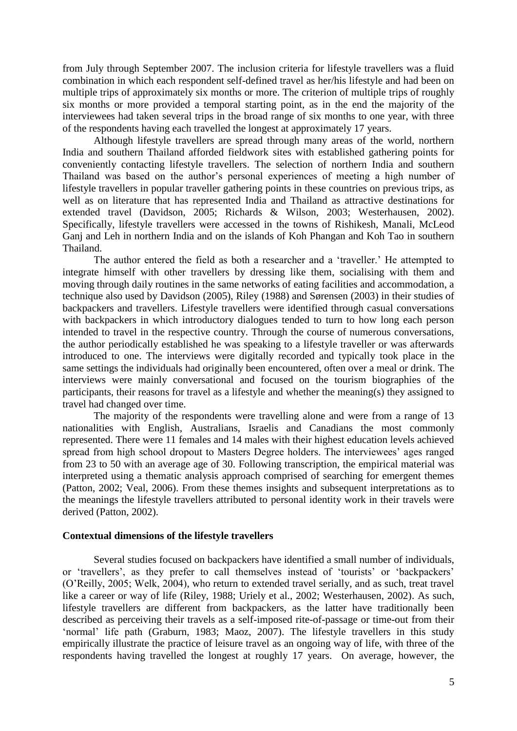from July through September 2007. The inclusion criteria for lifestyle travellers was a fluid combination in which each respondent self-defined travel as her/his lifestyle and had been on multiple trips of approximately six months or more. The criterion of multiple trips of roughly six months or more provided a temporal starting point, as in the end the majority of the interviewees had taken several trips in the broad range of six months to one year, with three of the respondents having each travelled the longest at approximately 17 years.

Although lifestyle travellers are spread through many areas of the world, northern India and southern Thailand afforded fieldwork sites with established gathering points for conveniently contacting lifestyle travellers. The selection of northern India and southern Thailand was based on the author"s personal experiences of meeting a high number of lifestyle travellers in popular traveller gathering points in these countries on previous trips, as well as on literature that has represented India and Thailand as attractive destinations for extended travel (Davidson, 2005; Richards & Wilson, 2003; Westerhausen, 2002). Specifically, lifestyle travellers were accessed in the towns of Rishikesh, Manali, McLeod Ganj and Leh in northern India and on the islands of Koh Phangan and Koh Tao in southern Thailand.

The author entered the field as both a researcher and a "traveller." He attempted to integrate himself with other travellers by dressing like them, socialising with them and moving through daily routines in the same networks of eating facilities and accommodation, a technique also used by Davidson (2005), Riley (1988) and Sørensen (2003) in their studies of backpackers and travellers. Lifestyle travellers were identified through casual conversations with backpackers in which introductory dialogues tended to turn to how long each person intended to travel in the respective country. Through the course of numerous conversations, the author periodically established he was speaking to a lifestyle traveller or was afterwards introduced to one. The interviews were digitally recorded and typically took place in the same settings the individuals had originally been encountered, often over a meal or drink. The interviews were mainly conversational and focused on the tourism biographies of the participants, their reasons for travel as a lifestyle and whether the meaning(s) they assigned to travel had changed over time.

The majority of the respondents were travelling alone and were from a range of 13 nationalities with English, Australians, Israelis and Canadians the most commonly represented. There were 11 females and 14 males with their highest education levels achieved spread from high school dropout to Masters Degree holders. The interviewees' ages ranged from 23 to 50 with an average age of 30. Following transcription, the empirical material was interpreted using a thematic analysis approach comprised of searching for emergent themes (Patton, 2002; Veal, 2006). From these themes insights and subsequent interpretations as to the meanings the lifestyle travellers attributed to personal identity work in their travels were derived (Patton, 2002).

#### **Contextual dimensions of the lifestyle travellers**

Several studies focused on backpackers have identified a small number of individuals, or 'travellers', as they prefer to call themselves instead of 'tourists' or 'backpackers' (O"Reilly, 2005; Welk, 2004), who return to extended travel serially, and as such, treat travel like a career or way of life (Riley, 1988; Uriely et al., 2002; Westerhausen, 2002). As such, lifestyle travellers are different from backpackers, as the latter have traditionally been described as perceiving their travels as a self-imposed rite-of-passage or time-out from their 'normal' life path (Graburn, 1983; Maoz, 2007). The lifestyle travellers in this study empirically illustrate the practice of leisure travel as an ongoing way of life, with three of the respondents having travelled the longest at roughly 17 years. On average, however, the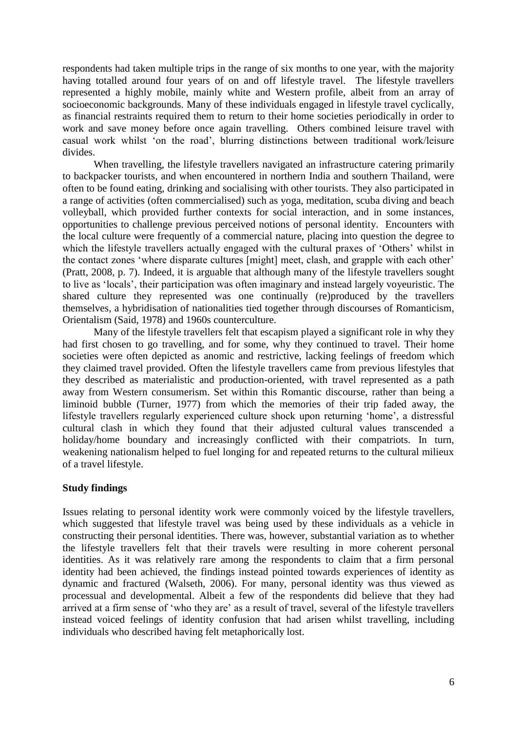respondents had taken multiple trips in the range of six months to one year, with the majority having totalled around four years of on and off lifestyle travel. The lifestyle travellers represented a highly mobile, mainly white and Western profile, albeit from an array of socioeconomic backgrounds. Many of these individuals engaged in lifestyle travel cyclically, as financial restraints required them to return to their home societies periodically in order to work and save money before once again travelling. Others combined leisure travel with casual work whilst "on the road", blurring distinctions between traditional work/leisure divides.

When travelling, the lifestyle travellers navigated an infrastructure catering primarily to backpacker tourists, and when encountered in northern India and southern Thailand, were often to be found eating, drinking and socialising with other tourists. They also participated in a range of activities (often commercialised) such as yoga, meditation, scuba diving and beach volleyball, which provided further contexts for social interaction, and in some instances, opportunities to challenge previous perceived notions of personal identity. Encounters with the local culture were frequently of a commercial nature, placing into question the degree to which the lifestyle travellers actually engaged with the cultural praxes of 'Others' whilst in the contact zones "where disparate cultures [might] meet, clash, and grapple with each other" (Pratt, 2008, p. 7). Indeed, it is arguable that although many of the lifestyle travellers sought to live as "locals", their participation was often imaginary and instead largely voyeuristic. The shared culture they represented was one continually (re)produced by the travellers themselves, a hybridisation of nationalities tied together through discourses of Romanticism, Orientalism (Said, 1978) and 1960s counterculture.

Many of the lifestyle travellers felt that escapism played a significant role in why they had first chosen to go travelling, and for some, why they continued to travel. Their home societies were often depicted as anomic and restrictive, lacking feelings of freedom which they claimed travel provided. Often the lifestyle travellers came from previous lifestyles that they described as materialistic and production-oriented, with travel represented as a path away from Western consumerism. Set within this Romantic discourse, rather than being a liminoid bubble (Turner, 1977) from which the memories of their trip faded away, the lifestyle travellers regularly experienced culture shock upon returning "home", a distressful cultural clash in which they found that their adjusted cultural values transcended a holiday/home boundary and increasingly conflicted with their compatriots. In turn, weakening nationalism helped to fuel longing for and repeated returns to the cultural milieux of a travel lifestyle.

## **Study findings**

Issues relating to personal identity work were commonly voiced by the lifestyle travellers, which suggested that lifestyle travel was being used by these individuals as a vehicle in constructing their personal identities. There was, however, substantial variation as to whether the lifestyle travellers felt that their travels were resulting in more coherent personal identities. As it was relatively rare among the respondents to claim that a firm personal identity had been achieved, the findings instead pointed towards experiences of identity as dynamic and fractured (Walseth, 2006). For many, personal identity was thus viewed as processual and developmental. Albeit a few of the respondents did believe that they had arrived at a firm sense of "who they are" as a result of travel, several of the lifestyle travellers instead voiced feelings of identity confusion that had arisen whilst travelling, including individuals who described having felt metaphorically lost.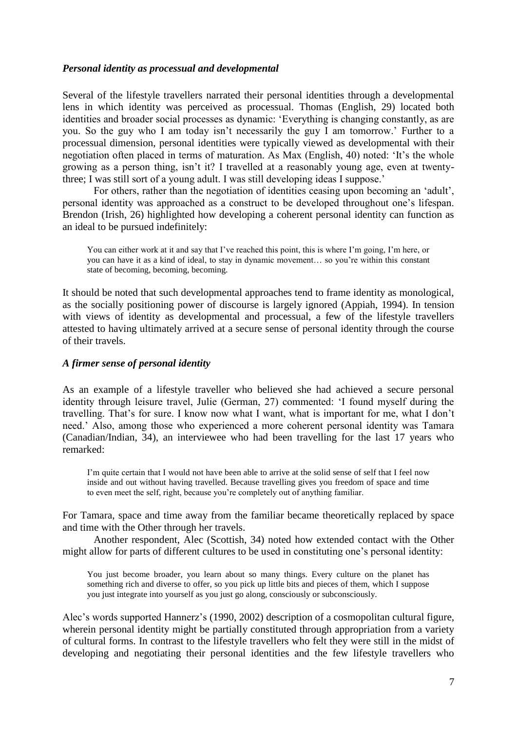## *Personal identity as processual and developmental*

Several of the lifestyle travellers narrated their personal identities through a developmental lens in which identity was perceived as processual. Thomas (English, 29) located both identities and broader social processes as dynamic: "Everything is changing constantly, as are you. So the guy who I am today isn"t necessarily the guy I am tomorrow." Further to a processual dimension, personal identities were typically viewed as developmental with their negotiation often placed in terms of maturation. As Max (English, 40) noted: "It"s the whole growing as a person thing, isn"t it? I travelled at a reasonably young age, even at twentythree; I was still sort of a young adult. I was still developing ideas I suppose.'

For others, rather than the negotiation of identities ceasing upon becoming an 'adult', personal identity was approached as a construct to be developed throughout one"s lifespan. Brendon (Irish, 26) highlighted how developing a coherent personal identity can function as an ideal to be pursued indefinitely:

You can either work at it and say that I've reached this point, this is where I'm going, I'm here, or you can have it as a kind of ideal, to stay in dynamic movement... so you're within this constant state of becoming, becoming, becoming.

It should be noted that such developmental approaches tend to frame identity as monological, as the socially positioning power of discourse is largely ignored (Appiah, 1994). In tension with views of identity as developmental and processual, a few of the lifestyle travellers attested to having ultimately arrived at a secure sense of personal identity through the course of their travels.

### *A firmer sense of personal identity*

As an example of a lifestyle traveller who believed she had achieved a secure personal identity through leisure travel, Julie (German, 27) commented: "I found myself during the travelling. That"s for sure. I know now what I want, what is important for me, what I don"t need." Also, among those who experienced a more coherent personal identity was Tamara (Canadian/Indian, 34), an interviewee who had been travelling for the last 17 years who remarked:

I'm quite certain that I would not have been able to arrive at the solid sense of self that I feel now inside and out without having travelled. Because travelling gives you freedom of space and time to even meet the self, right, because you"re completely out of anything familiar.

For Tamara, space and time away from the familiar became theoretically replaced by space and time with the Other through her travels.

Another respondent, Alec (Scottish, 34) noted how extended contact with the Other might allow for parts of different cultures to be used in constituting one"s personal identity:

You just become broader, you learn about so many things. Every culture on the planet has something rich and diverse to offer, so you pick up little bits and pieces of them, which I suppose you just integrate into yourself as you just go along, consciously or subconsciously.

Alec's words supported Hannerz's (1990, 2002) description of a cosmopolitan cultural figure, wherein personal identity might be partially constituted through appropriation from a variety of cultural forms. In contrast to the lifestyle travellers who felt they were still in the midst of developing and negotiating their personal identities and the few lifestyle travellers who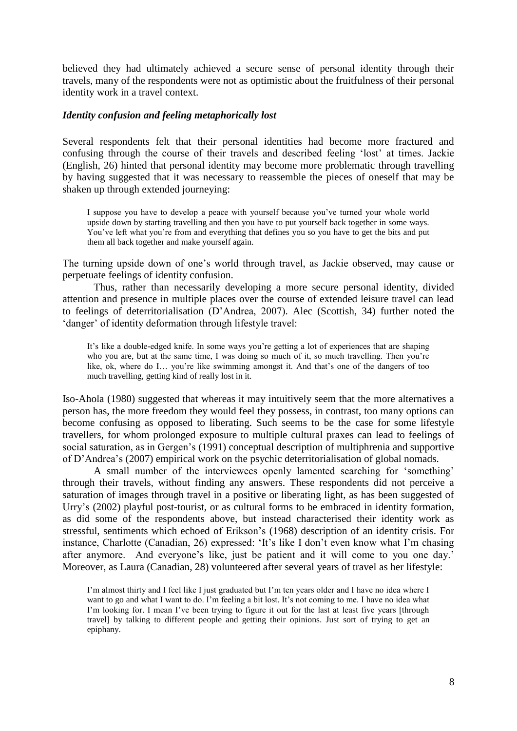believed they had ultimately achieved a secure sense of personal identity through their travels, many of the respondents were not as optimistic about the fruitfulness of their personal identity work in a travel context.

#### *Identity confusion and feeling metaphorically lost*

Several respondents felt that their personal identities had become more fractured and confusing through the course of their travels and described feeling "lost" at times. Jackie (English, 26) hinted that personal identity may become more problematic through travelling by having suggested that it was necessary to reassemble the pieces of oneself that may be shaken up through extended journeying:

I suppose you have to develop a peace with yourself because you"ve turned your whole world upside down by starting travelling and then you have to put yourself back together in some ways. You've left what you're from and everything that defines you so you have to get the bits and put them all back together and make yourself again.

The turning upside down of one"s world through travel, as Jackie observed, may cause or perpetuate feelings of identity confusion.

Thus, rather than necessarily developing a more secure personal identity, divided attention and presence in multiple places over the course of extended leisure travel can lead to feelings of deterritorialisation (D"Andrea, 2007). Alec (Scottish, 34) further noted the 'danger' of identity deformation through lifestyle travel:

It"s like a double-edged knife. In some ways you"re getting a lot of experiences that are shaping who you are, but at the same time, I was doing so much of it, so much travelling. Then you're like, ok, where do I... you're like swimming amongst it. And that's one of the dangers of too much travelling, getting kind of really lost in it.

Iso-Ahola (1980) suggested that whereas it may intuitively seem that the more alternatives a person has, the more freedom they would feel they possess, in contrast, too many options can become confusing as opposed to liberating. Such seems to be the case for some lifestyle travellers, for whom prolonged exposure to multiple cultural praxes can lead to feelings of social saturation, as in Gergen's (1991) conceptual description of multiphrenia and supportive of D"Andrea"s (2007) empirical work on the psychic deterritorialisation of global nomads.

A small number of the interviewees openly lamented searching for "something" through their travels, without finding any answers. These respondents did not perceive a saturation of images through travel in a positive or liberating light, as has been suggested of Urry"s (2002) playful post-tourist, or as cultural forms to be embraced in identity formation, as did some of the respondents above, but instead characterised their identity work as stressful, sentiments which echoed of Erikson"s (1968) description of an identity crisis. For instance, Charlotte (Canadian, 26) expressed: 'It's like I don't even know what I'm chasing after anymore. And everyone's like, just be patient and it will come to you one day.' Moreover, as Laura (Canadian, 28) volunteered after several years of travel as her lifestyle:

I"m almost thirty and I feel like I just graduated but I"m ten years older and I have no idea where I want to go and what I want to do. I'm feeling a bit lost. It's not coming to me. I have no idea what I'm looking for. I mean I've been trying to figure it out for the last at least five years [through travel] by talking to different people and getting their opinions. Just sort of trying to get an epiphany.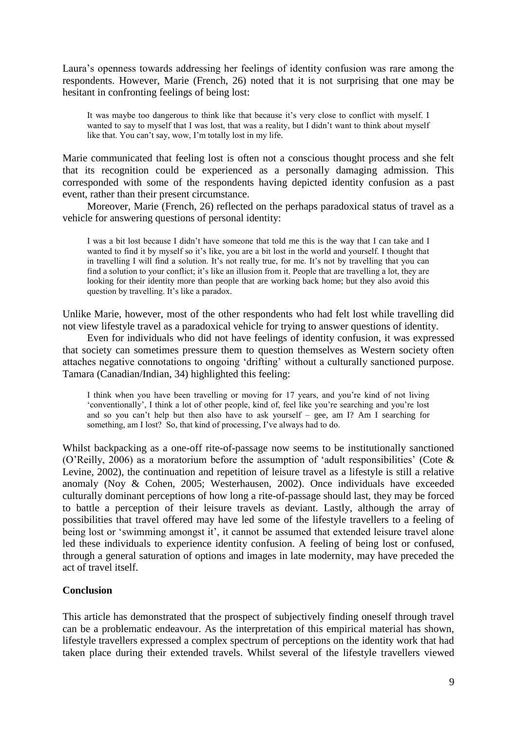Laura"s openness towards addressing her feelings of identity confusion was rare among the respondents. However, Marie (French, 26) noted that it is not surprising that one may be hesitant in confronting feelings of being lost:

It was maybe too dangerous to think like that because it's very close to conflict with myself. I wanted to say to myself that I was lost, that was a reality, but I didn't want to think about myself like that. You can't say, wow, I'm totally lost in my life.

Marie communicated that feeling lost is often not a conscious thought process and she felt that its recognition could be experienced as a personally damaging admission. This corresponded with some of the respondents having depicted identity confusion as a past event, rather than their present circumstance.

Moreover, Marie (French, 26) reflected on the perhaps paradoxical status of travel as a vehicle for answering questions of personal identity:

I was a bit lost because I didn"t have someone that told me this is the way that I can take and I wanted to find it by myself so it's like, you are a bit lost in the world and yourself. I thought that in travelling I will find a solution. It's not really true, for me. It's not by travelling that you can find a solution to your conflict; it's like an illusion from it. People that are travelling a lot, they are looking for their identity more than people that are working back home; but they also avoid this question by travelling. It's like a paradox.

Unlike Marie, however, most of the other respondents who had felt lost while travelling did not view lifestyle travel as a paradoxical vehicle for trying to answer questions of identity.

Even for individuals who did not have feelings of identity confusion, it was expressed that society can sometimes pressure them to question themselves as Western society often attaches negative connotations to ongoing "drifting" without a culturally sanctioned purpose. Tamara (Canadian/Indian, 34) highlighted this feeling:

I think when you have been travelling or moving for 17 years, and you"re kind of not living "conventionally", I think a lot of other people, kind of, feel like you"re searching and you"re lost and so you can"t help but then also have to ask yourself – gee, am I? Am I searching for something, am I lost? So, that kind of processing, I've always had to do.

Whilst backpacking as a one-off rite-of-passage now seems to be institutionally sanctioned (O'Reilly, 2006) as a moratorium before the assumption of 'adult responsibilities' (Cote  $\&$ Levine, 2002), the continuation and repetition of leisure travel as a lifestyle is still a relative anomaly (Noy & Cohen, 2005; Westerhausen, 2002). Once individuals have exceeded culturally dominant perceptions of how long a rite-of-passage should last, they may be forced to battle a perception of their leisure travels as deviant. Lastly, although the array of possibilities that travel offered may have led some of the lifestyle travellers to a feeling of being lost or 'swimming amongst it', it cannot be assumed that extended leisure travel alone led these individuals to experience identity confusion. A feeling of being lost or confused, through a general saturation of options and images in late modernity, may have preceded the act of travel itself.

## **Conclusion**

This article has demonstrated that the prospect of subjectively finding oneself through travel can be a problematic endeavour. As the interpretation of this empirical material has shown, lifestyle travellers expressed a complex spectrum of perceptions on the identity work that had taken place during their extended travels. Whilst several of the lifestyle travellers viewed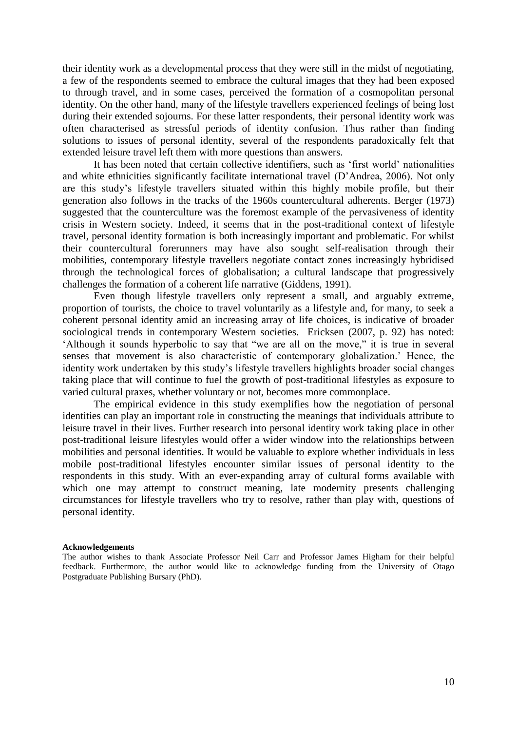their identity work as a developmental process that they were still in the midst of negotiating, a few of the respondents seemed to embrace the cultural images that they had been exposed to through travel, and in some cases, perceived the formation of a cosmopolitan personal identity. On the other hand, many of the lifestyle travellers experienced feelings of being lost during their extended sojourns. For these latter respondents, their personal identity work was often characterised as stressful periods of identity confusion. Thus rather than finding solutions to issues of personal identity, several of the respondents paradoxically felt that extended leisure travel left them with more questions than answers.

It has been noted that certain collective identifiers, such as "first world" nationalities and white ethnicities significantly facilitate international travel (D"Andrea, 2006). Not only are this study"s lifestyle travellers situated within this highly mobile profile, but their generation also follows in the tracks of the 1960s countercultural adherents. Berger (1973) suggested that the counterculture was the foremost example of the pervasiveness of identity crisis in Western society. Indeed, it seems that in the post-traditional context of lifestyle travel, personal identity formation is both increasingly important and problematic. For whilst their countercultural forerunners may have also sought self-realisation through their mobilities, contemporary lifestyle travellers negotiate contact zones increasingly hybridised through the technological forces of globalisation; a cultural landscape that progressively challenges the formation of a coherent life narrative (Giddens, 1991).

Even though lifestyle travellers only represent a small, and arguably extreme, proportion of tourists, the choice to travel voluntarily as a lifestyle and, for many, to seek a coherent personal identity amid an increasing array of life choices, is indicative of broader sociological trends in contemporary Western societies. Ericksen (2007, p. 92) has noted: "Although it sounds hyperbolic to say that "we are all on the move," it is true in several senses that movement is also characteristic of contemporary globalization." Hence, the identity work undertaken by this study"s lifestyle travellers highlights broader social changes taking place that will continue to fuel the growth of post-traditional lifestyles as exposure to varied cultural praxes, whether voluntary or not, becomes more commonplace.

The empirical evidence in this study exemplifies how the negotiation of personal identities can play an important role in constructing the meanings that individuals attribute to leisure travel in their lives. Further research into personal identity work taking place in other post-traditional leisure lifestyles would offer a wider window into the relationships between mobilities and personal identities. It would be valuable to explore whether individuals in less mobile post-traditional lifestyles encounter similar issues of personal identity to the respondents in this study. With an ever-expanding array of cultural forms available with which one may attempt to construct meaning, late modernity presents challenging circumstances for lifestyle travellers who try to resolve, rather than play with, questions of personal identity.

#### **Acknowledgements**

The author wishes to thank Associate Professor Neil Carr and Professor James Higham for their helpful feedback. Furthermore, the author would like to acknowledge funding from the University of Otago Postgraduate Publishing Bursary (PhD).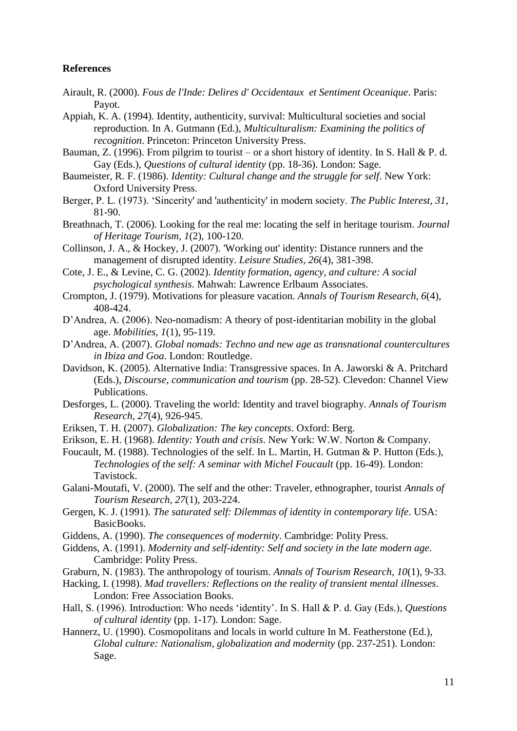## **References**

- Airault, R. (2000). *Fous de l'Inde: Delires d' Occidentaux et Sentiment Oceanique*. Paris: Payot.
- Appiah, K. A. (1994). Identity, authenticity, survival: Multicultural societies and social reproduction. In A. Gutmann (Ed.), *Multiculturalism: Examining the politics of recognition*. Princeton: Princeton University Press.
- Bauman, Z. (1996). From pilgrim to tourist or a short history of identity. In S. Hall & P. d. Gay (Eds.), *Questions of cultural identity* (pp. 18-36). London: Sage.
- Baumeister, R. F. (1986). *Identity: Cultural change and the struggle for self*. New York: Oxford University Press.
- Berger, P. L. (1973). "Sincerity' and 'authenticity' in modern society. *The Public Interest, 31*, 81-90.
- Breathnach, T. (2006). Looking for the real me: locating the self in heritage tourism. *Journal of Heritage Tourism, 1*(2), 100-120.
- Collinson, J. A., & Hockey, J. (2007). 'Working out' identity: Distance runners and the management of disrupted identity. *Leisure Studies, 26*(4), 381-398.
- Cote, J. E., & Levine, C. G. (2002). *Identity formation, agency, and culture: A social psychological synthesis*. Mahwah: Lawrence Erlbaum Associates.
- Crompton, J. (1979). Motivations for pleasure vacation. *Annals of Tourism Research, 6*(4), 408-424.
- D"Andrea, A. (2006). Neo-nomadism: A theory of post-identitarian mobility in the global age. *Mobilities, 1*(1), 95-119.
- D"Andrea, A. (2007). *Global nomads: Techno and new age as transnational countercultures in Ibiza and Goa*. London: Routledge.
- Davidson, K. (2005). Alternative India: Transgressive spaces. In A. Jaworski & A. Pritchard (Eds.), *Discourse, communication and tourism* (pp. 28-52). Clevedon: Channel View Publications.
- Desforges, L. (2000). Traveling the world: Identity and travel biography. *Annals of Tourism Research, 27*(4), 926-945.
- Eriksen, T. H. (2007). *Globalization: The key concepts*. Oxford: Berg.
- Erikson, E. H. (1968). *Identity: Youth and crisis*. New York: W.W. Norton & Company.
- Foucault, M. (1988). Technologies of the self. In L. Martin, H. Gutman & P. Hutton (Eds.), *Technologies of the self: A seminar with Michel Foucault* (pp. 16-49). London: Tavistock.
- Galani-Moutafi, V. (2000). The self and the other: Traveler, ethnographer, tourist *Annals of Tourism Research, 27*(1), 203-224.
- Gergen, K. J. (1991). *The saturated self: Dilemmas of identity in contemporary life*. USA: BasicBooks.
- Giddens, A. (1990). *The consequences of modernity*. Cambridge: Polity Press.
- Giddens, A. (1991). *Modernity and self-identity: Self and society in the late modern age*. Cambridge: Polity Press.
- Graburn, N. (1983). The anthropology of tourism. *Annals of Tourism Research, 10*(1), 9-33.
- Hacking, I. (1998). *Mad travellers: Reflections on the reality of transient mental illnesses*. London: Free Association Books.
- Hall, S. (1996). Introduction: Who needs "identity". In S. Hall & P. d. Gay (Eds.), *Questions of cultural identity* (pp. 1-17). London: Sage.
- Hannerz, U. (1990). Cosmopolitans and locals in world culture In M. Featherstone (Ed.), *Global culture: Nationalism, globalization and modernity* (pp. 237-251). London: Sage.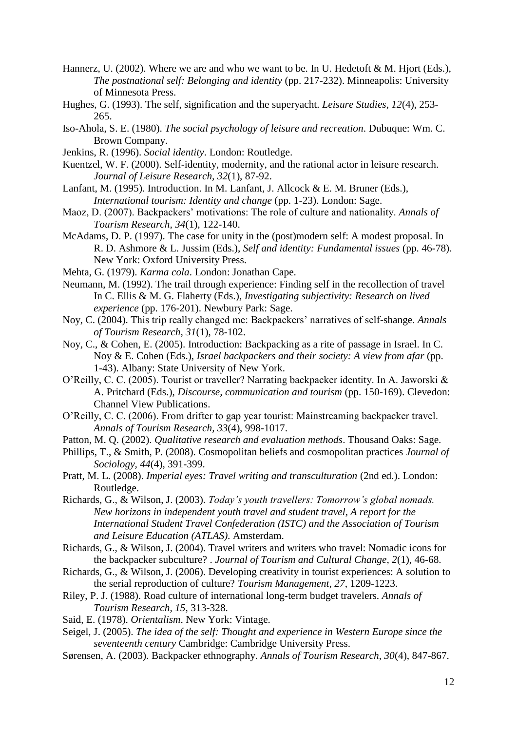- Hannerz, U. (2002). Where we are and who we want to be. In U. Hedetoft & M. Hjort (Eds.), *The postnational self: Belonging and identity* (pp. 217-232). Minneapolis: University of Minnesota Press.
- Hughes, G. (1993). The self, signification and the superyacht. *Leisure Studies, 12*(4), 253- 265.
- Iso-Ahola, S. E. (1980). *The social psychology of leisure and recreation*. Dubuque: Wm. C. Brown Company.
- Jenkins, R. (1996). *Social identity*. London: Routledge.
- Kuentzel, W. F. (2000). Self-identity, modernity, and the rational actor in leisure research. *Journal of Leisure Research, 32*(1), 87-92.
- Lanfant, M. (1995). Introduction. In M. Lanfant, J. Allcock & E. M. Bruner (Eds.), *International tourism: Identity and change* (pp. 1-23). London: Sage.
- Maoz, D. (2007). Backpackers" motivations: The role of culture and nationality. *Annals of Tourism Research, 34*(1), 122-140.
- McAdams, D. P. (1997). The case for unity in the (post)modern self: A modest proposal. In R. D. Ashmore & L. Jussim (Eds.), *Self and identity: Fundamental issues* (pp. 46-78). New York: Oxford University Press.
- Mehta, G. (1979). *Karma cola*. London: Jonathan Cape.
- Neumann, M. (1992). The trail through experience: Finding self in the recollection of travel In C. Ellis & M. G. Flaherty (Eds.), *Investigating subjectivity: Research on lived experience* (pp. 176-201). Newbury Park: Sage.
- Noy, C. (2004). This trip really changed me: Backpackers" narratives of self-shange. *Annals of Tourism Research, 31*(1), 78-102.
- Noy, C., & Cohen, E. (2005). Introduction: Backpacking as a rite of passage in Israel. In C. Noy & E. Cohen (Eds.), *Israel backpackers and their society: A view from afar* (pp. 1-43). Albany: State University of New York.
- O"Reilly, C. C. (2005). Tourist or traveller? Narrating backpacker identity. In A. Jaworski & A. Pritchard (Eds.), *Discourse, communication and tourism* (pp. 150-169). Clevedon: Channel View Publications.
- O"Reilly, C. C. (2006). From drifter to gap year tourist: Mainstreaming backpacker travel. *Annals of Tourism Research, 33*(4), 998-1017.
- Patton, M. Q. (2002). *Qualitative research and evaluation methods*. Thousand Oaks: Sage.
- Phillips, T., & Smith, P. (2008). Cosmopolitan beliefs and cosmopolitan practices *Journal of Sociology, 44*(4), 391-399.
- Pratt, M. L. (2008). *Imperial eyes: Travel writing and transculturation* (2nd ed.). London: Routledge.
- Richards, G., & Wilson, J. (2003). *Today's youth travellers: Tomorrow's global nomads. New horizons in independent youth travel and student travel, A report for the International Student Travel Confederation (ISTC) and the Association of Tourism and Leisure Education (ATLAS)*. Amsterdam.
- Richards, G., & Wilson, J. (2004). Travel writers and writers who travel: Nomadic icons for the backpacker subculture? . *Journal of Tourism and Cultural Change, 2*(1), 46-68.
- Richards, G., & Wilson, J. (2006). Developing creativity in tourist experiences: A solution to the serial reproduction of culture? *Tourism Management, 27*, 1209-1223.
- Riley, P. J. (1988). Road culture of international long-term budget travelers. *Annals of Tourism Research, 15*, 313-328.
- Said, E. (1978). *Orientalism*. New York: Vintage.
- Seigel, J. (2005). *The idea of the self: Thought and experience in Western Europe since the seventeenth century* Cambridge: Cambridge University Press.
- Sørensen, A. (2003). Backpacker ethnography. *Annals of Tourism Research, 30*(4), 847-867.